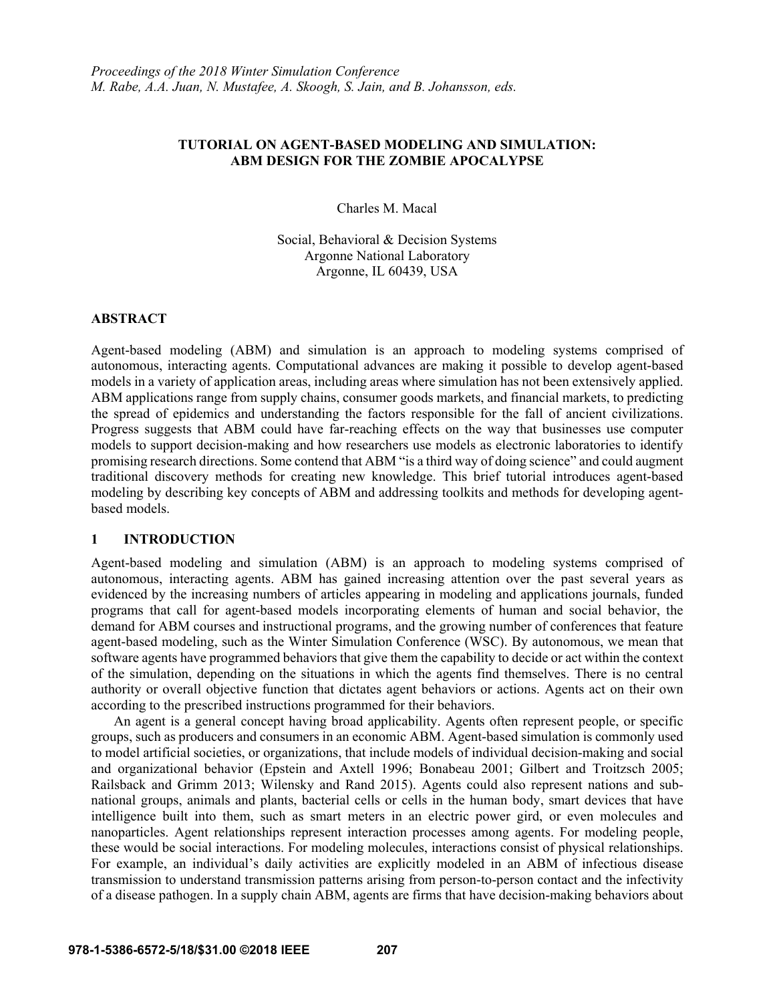## **TUTORIAL ON AGENT-BASED MODELING AND SIMULATION: ABM DESIGN FOR THE ZOMBIE APOCALYPSE**

Charles M. Macal

Social, Behavioral & Decision Systems Argonne National Laboratory Argonne, IL 60439, USA

### **ABSTRACT**

Agent-based modeling (ABM) and simulation is an approach to modeling systems comprised of autonomous, interacting agents. Computational advances are making it possible to develop agent-based models in a variety of application areas, including areas where simulation has not been extensively applied. ABM applications range from supply chains, consumer goods markets, and financial markets, to predicting the spread of epidemics and understanding the factors responsible for the fall of ancient civilizations. Progress suggests that ABM could have far-reaching effects on the way that businesses use computer models to support decision-making and how researchers use models as electronic laboratories to identify promising research directions. Some contend that ABM "is a third way of doing science" and could augment traditional discovery methods for creating new knowledge. This brief tutorial introduces agent-based modeling by describing key concepts of ABM and addressing toolkits and methods for developing agentbased models.

### **1 INTRODUCTION**

Agent-based modeling and simulation (ABM) is an approach to modeling systems comprised of autonomous, interacting agents. ABM has gained increasing attention over the past several years as evidenced by the increasing numbers of articles appearing in modeling and applications journals, funded programs that call for agent-based models incorporating elements of human and social behavior, the demand for ABM courses and instructional programs, and the growing number of conferences that feature agent-based modeling, such as the Winter Simulation Conference (WSC). By autonomous, we mean that software agents have programmed behaviors that give them the capability to decide or act within the context of the simulation, depending on the situations in which the agents find themselves. There is no central authority or overall objective function that dictates agent behaviors or actions. Agents act on their own according to the prescribed instructions programmed for their behaviors.

An agent is a general concept having broad applicability. Agents often represent people, or specific groups, such as producers and consumers in an economic ABM. Agent-based simulation is commonly used to model artificial societies, or organizations, that include models of individual decision-making and social and organizational behavior (Epstein and Axtell 1996; Bonabeau 2001; Gilbert and Troitzsch 2005; Railsback and Grimm 2013; Wilensky and Rand 2015). Agents could also represent nations and subnational groups, animals and plants, bacterial cells or cells in the human body, smart devices that have intelligence built into them, such as smart meters in an electric power gird, or even molecules and nanoparticles. Agent relationships represent interaction processes among agents. For modeling people, these would be social interactions. For modeling molecules, interactions consist of physical relationships. For example, an individual's daily activities are explicitly modeled in an ABM of infectious disease transmission to understand transmission patterns arising from person-to-person contact and the infectivity of a disease pathogen. In a supply chain ABM, agents are firms that have decision-making behaviors about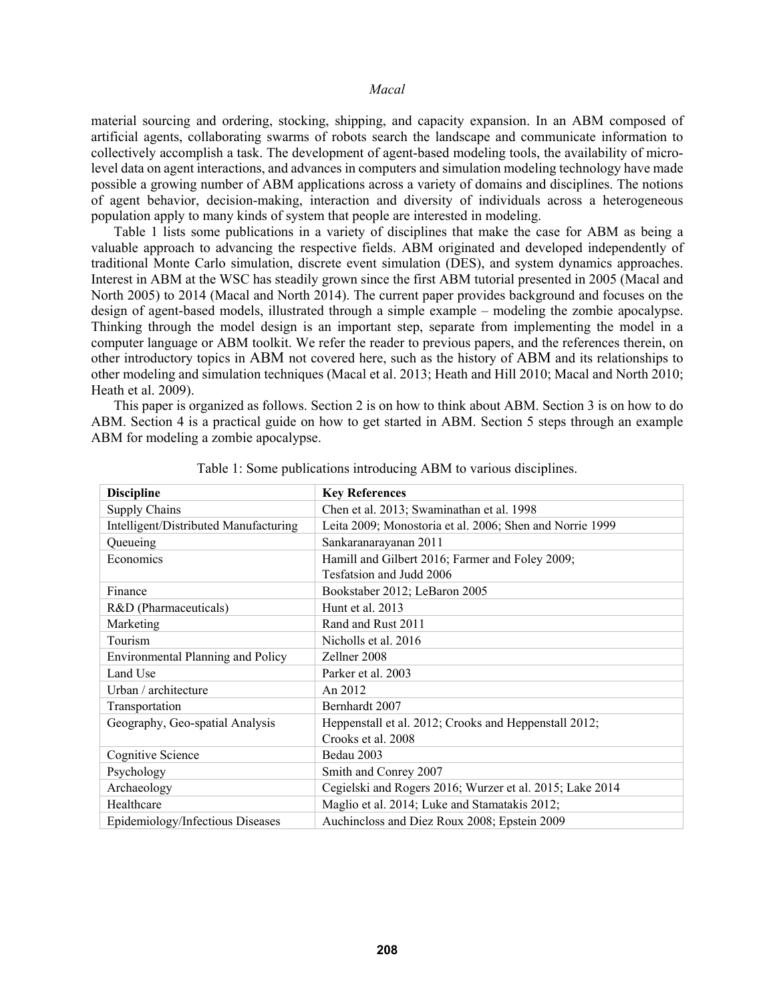material sourcing and ordering, stocking, shipping, and capacity expansion. In an ABM composed of artificial agents, collaborating swarms of robots search the landscape and communicate information to collectively accomplish a task. The development of agent-based modeling tools, the availability of microlevel data on agent interactions, and advances in computers and simulation modeling technology have made possible a growing number of ABM applications across a variety of domains and disciplines. The notions of agent behavior, decision-making, interaction and diversity of individuals across a heterogeneous population apply to many kinds of system that people are interested in modeling.

Table 1 lists some publications in a variety of disciplines that make the case for ABM as being a valuable approach to advancing the respective fields. ABM originated and developed independently of traditional Monte Carlo simulation, discrete event simulation (DES), and system dynamics approaches. Interest in ABM at the WSC has steadily grown since the first ABM tutorial presented in 2005 (Macal and North 2005) to 2014 (Macal and North 2014). The current paper provides background and focuses on the design of agent-based models, illustrated through a simple example – modeling the zombie apocalypse. Thinking through the model design is an important step, separate from implementing the model in a computer language or ABM toolkit. We refer the reader to previous papers, and the references therein, on other introductory topics in ABM not covered here, such as the history of ABM and its relationships to other modeling and simulation techniques (Macal et al. 2013; Heath and Hill 2010; Macal and North 2010; Heath et al. 2009).

This paper is organized as follows. Section 2 is on how to think about ABM. Section 3 is on how to do ABM. Section 4 is a practical guide on how to get started in ABM. Section 5 steps through an example ABM for modeling a zombie apocalypse.

| <b>Discipline</b>                        | <b>Key References</b>                                    |
|------------------------------------------|----------------------------------------------------------|
| Supply Chains                            | Chen et al. 2013; Swaminathan et al. 1998                |
| Intelligent/Distributed Manufacturing    | Leita 2009; Monostoria et al. 2006; Shen and Norrie 1999 |
| Queueing                                 | Sankaranarayanan 2011                                    |
| Economics                                | Hamill and Gilbert 2016; Farmer and Foley 2009;          |
|                                          | Tesfatsion and Judd 2006                                 |
| Finance                                  | Bookstaber 2012; LeBaron 2005                            |
| R&D (Pharmaceuticals)                    | Hunt et al. 2013                                         |
| Marketing                                | Rand and Rust 2011                                       |
| Tourism                                  | Nicholls et al. 2016                                     |
| <b>Environmental Planning and Policy</b> | Zellner 2008                                             |
| Land Use                                 | Parker et al. 2003                                       |
| Urban / architecture                     | An 2012                                                  |
| Transportation                           | Bernhardt 2007                                           |
| Geography, Geo-spatial Analysis          | Heppenstall et al. 2012; Crooks and Heppenstall 2012;    |
|                                          | Crooks et al. 2008                                       |
| Cognitive Science                        | Bedau 2003                                               |
| Psychology                               | Smith and Conrey 2007                                    |
| Archaeology                              | Cegielski and Rogers 2016; Wurzer et al. 2015; Lake 2014 |
| Healthcare                               | Maglio et al. 2014; Luke and Stamatakis 2012;            |
| Epidemiology/Infectious Diseases         | Auchineloss and Diez Roux 2008; Epstein 2009             |

Table 1: Some publications introducing ABM to various disciplines.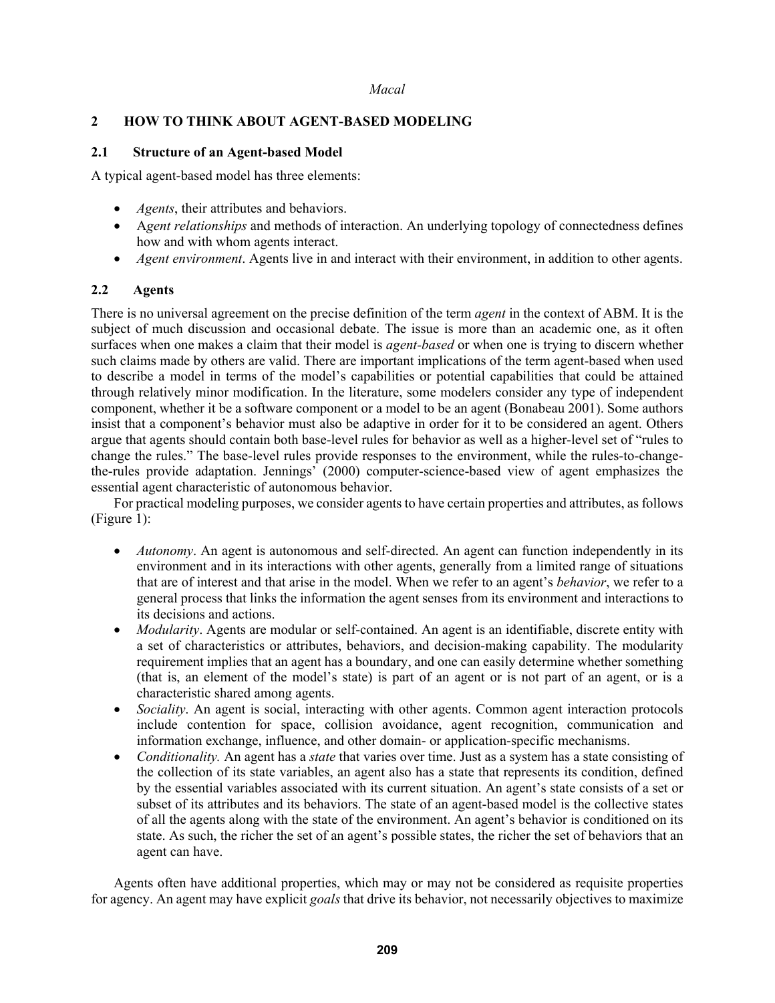# **2 HOW TO THINK ABOUT AGENT-BASED MODELING**

## **2.1 Structure of an Agent-based Model**

A typical agent-based model has three elements:

- *Agents*, their attributes and behaviors.
- A*gent relationships* and methods of interaction. An underlying topology of connectedness defines how and with whom agents interact.
- *Agent environment*. Agents live in and interact with their environment, in addition to other agents.

## **2.2 Agents**

There is no universal agreement on the precise definition of the term *agent* in the context of ABM. It is the subject of much discussion and occasional debate. The issue is more than an academic one, as it often surfaces when one makes a claim that their model is *agent-based* or when one is trying to discern whether such claims made by others are valid. There are important implications of the term agent-based when used to describe a model in terms of the model's capabilities or potential capabilities that could be attained through relatively minor modification. In the literature, some modelers consider any type of independent component, whether it be a software component or a model to be an agent (Bonabeau 2001). Some authors insist that a component's behavior must also be adaptive in order for it to be considered an agent. Others argue that agents should contain both base-level rules for behavior as well as a higher-level set of "rules to change the rules." The base-level rules provide responses to the environment, while the rules-to-changethe-rules provide adaptation. Jennings' (2000) computer-science-based view of agent emphasizes the essential agent characteristic of autonomous behavior.

For practical modeling purposes, we consider agents to have certain properties and attributes, as follows (Figure 1):

- *Autonomy*. An agent is autonomous and self-directed. An agent can function independently in its environment and in its interactions with other agents, generally from a limited range of situations that are of interest and that arise in the model. When we refer to an agent's *behavior*, we refer to a general process that links the information the agent senses from its environment and interactions to its decisions and actions.
- *Modularity*. Agents are modular or self-contained. An agent is an identifiable, discrete entity with a set of characteristics or attributes, behaviors, and decision-making capability. The modularity requirement implies that an agent has a boundary, and one can easily determine whether something (that is, an element of the model's state) is part of an agent or is not part of an agent, or is a characteristic shared among agents.
- *Sociality*. An agent is social, interacting with other agents. Common agent interaction protocols include contention for space, collision avoidance, agent recognition, communication and information exchange, influence, and other domain- or application-specific mechanisms.
- *Conditionality.* An agent has a *state* that varies over time. Just as a system has a state consisting of the collection of its state variables, an agent also has a state that represents its condition, defined by the essential variables associated with its current situation. An agent's state consists of a set or subset of its attributes and its behaviors. The state of an agent-based model is the collective states of all the agents along with the state of the environment. An agent's behavior is conditioned on its state. As such, the richer the set of an agent's possible states, the richer the set of behaviors that an agent can have.

Agents often have additional properties, which may or may not be considered as requisite properties for agency. An agent may have explicit *goals* that drive its behavior, not necessarily objectives to maximize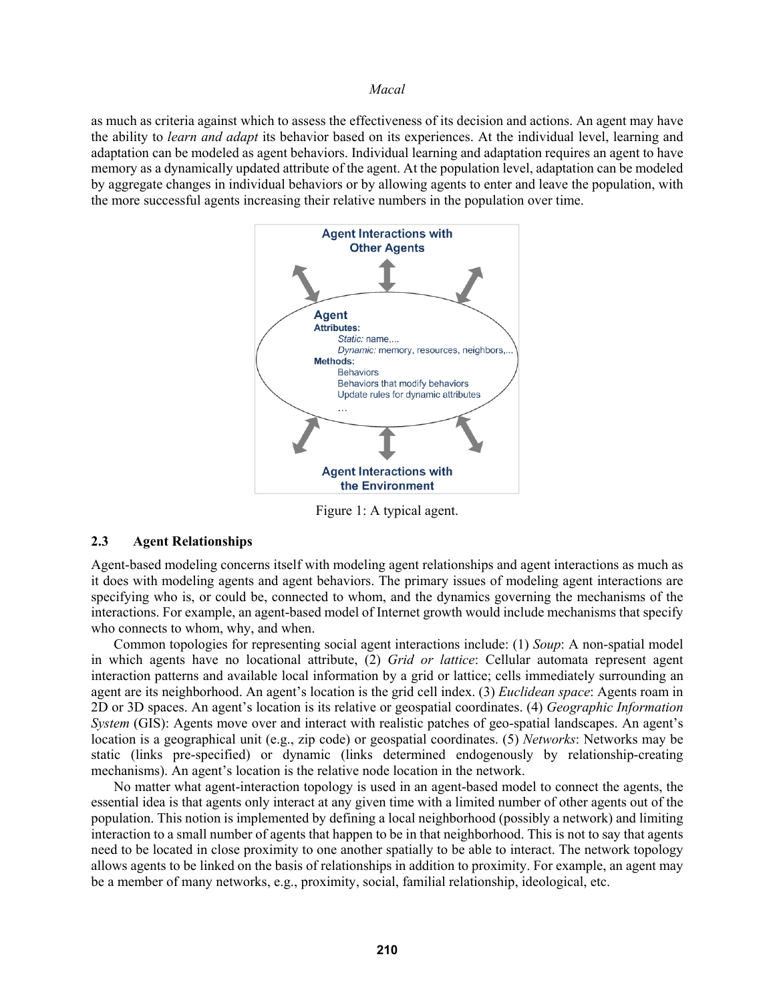as much as criteria against which to assess the effectiveness of its decision and actions. An agent may have the ability to *learn and adapt* its behavior based on its experiences. At the individual level, learning and adaptation can be modeled as agent behaviors. Individual learning and adaptation requires an agent to have memory as a dynamically updated attribute of the agent. At the population level, adaptation can be modeled by aggregate changes in individual behaviors or by allowing agents to enter and leave the population, with the more successful agents increasing their relative numbers in the population over time.



Figure 1: A typical agent.

### **2.3 Agent Relationships**

Agent-based modeling concerns itself with modeling agent relationships and agent interactions as much as it does with modeling agents and agent behaviors. The primary issues of modeling agent interactions are specifying who is, or could be, connected to whom, and the dynamics governing the mechanisms of the interactions. For example, an agent-based model of Internet growth would include mechanisms that specify who connects to whom, why, and when.

Common topologies for representing social agent interactions include: (1) *Soup*: A non-spatial model in which agents have no locational attribute, (2) *Grid or lattice*: Cellular automata represent agent interaction patterns and available local information by a grid or lattice; cells immediately surrounding an agent are its neighborhood. An agent's location is the grid cell index. (3) *Euclidean space*: Agents roam in 2D or 3D spaces. An agent's location is its relative or geospatial coordinates. (4) *Geographic Information System* (GIS): Agents move over and interact with realistic patches of geo-spatial landscapes. An agent's location is a geographical unit (e.g., zip code) or geospatial coordinates. (5) *Networks*: Networks may be static (links pre-specified) or dynamic (links determined endogenously by relationship-creating mechanisms). An agent's location is the relative node location in the network.

No matter what agent-interaction topology is used in an agent-based model to connect the agents, the essential idea is that agents only interact at any given time with a limited number of other agents out of the population. This notion is implemented by defining a local neighborhood (possibly a network) and limiting interaction to a small number of agents that happen to be in that neighborhood. This is not to say that agents need to be located in close proximity to one another spatially to be able to interact. The network topology allows agents to be linked on the basis of relationships in addition to proximity. For example, an agent may be a member of many networks, e.g., proximity, social, familial relationship, ideological, etc.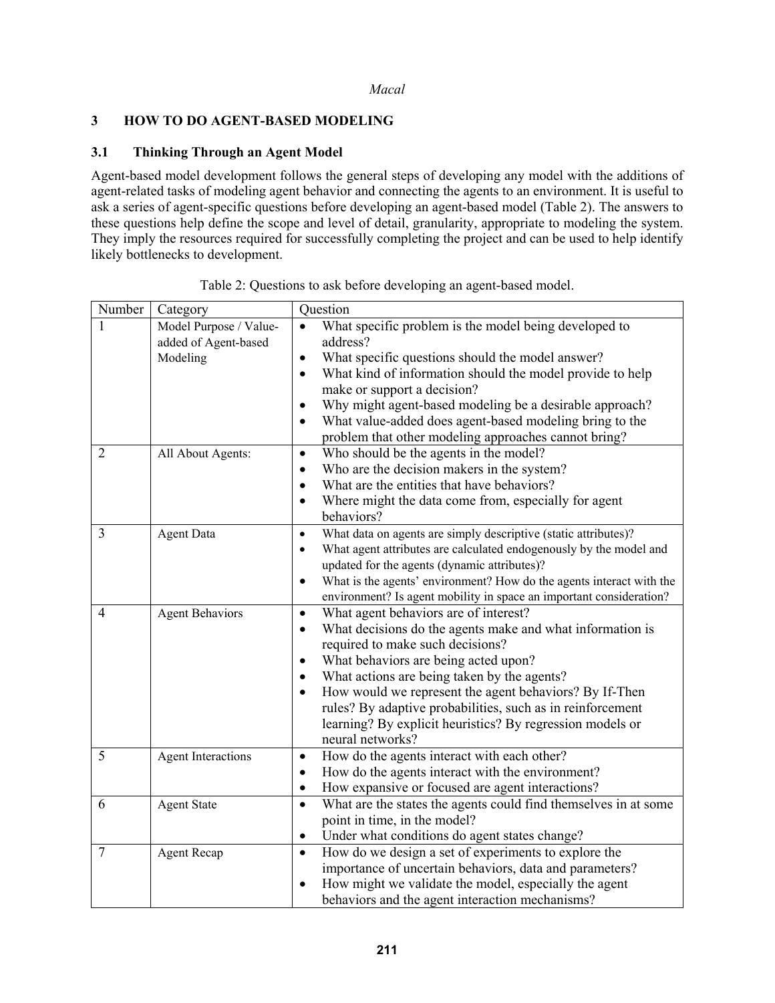# **3 HOW TO DO AGENT-BASED MODELING**

## **3.1 Thinking Through an Agent Model**

Agent-based model development follows the general steps of developing any model with the additions of agent-related tasks of modeling agent behavior and connecting the agents to an environment. It is useful to ask a series of agent-specific questions before developing an agent-based model (Table 2). The answers to these questions help define the scope and level of detail, granularity, appropriate to modeling the system. They imply the resources required for successfully completing the project and can be used to help identify likely bottlenecks to development.

| Number         | Category                                                   | Question                                                                                                                                                                                                                                                                                                                                                                                                                                                                                   |
|----------------|------------------------------------------------------------|--------------------------------------------------------------------------------------------------------------------------------------------------------------------------------------------------------------------------------------------------------------------------------------------------------------------------------------------------------------------------------------------------------------------------------------------------------------------------------------------|
|                | Model Purpose / Value-<br>added of Agent-based<br>Modeling | What specific problem is the model being developed to<br>address?<br>What specific questions should the model answer?<br>What kind of information should the model provide to help<br>$\bullet$<br>make or support a decision?<br>Why might agent-based modeling be a desirable approach?<br>What value-added does agent-based modeling bring to the<br>$\bullet$<br>problem that other modeling approaches cannot bring?                                                                  |
| $\overline{2}$ | All About Agents:                                          | Who should be the agents in the model?<br>$\bullet$<br>Who are the decision makers in the system?<br>$\bullet$<br>What are the entities that have behaviors?<br>$\bullet$<br>Where might the data come from, especially for agent<br>$\bullet$<br>behaviors?                                                                                                                                                                                                                               |
| 3              | <b>Agent Data</b>                                          | What data on agents are simply descriptive (static attributes)?<br>$\bullet$<br>What agent attributes are calculated endogenously by the model and<br>$\bullet$<br>updated for the agents (dynamic attributes)?<br>What is the agents' environment? How do the agents interact with the<br>$\bullet$<br>environment? Is agent mobility in space an important consideration?                                                                                                                |
| $\overline{4}$ | <b>Agent Behaviors</b>                                     | What agent behaviors are of interest?<br>$\bullet$<br>What decisions do the agents make and what information is<br>$\bullet$<br>required to make such decisions?<br>What behaviors are being acted upon?<br>$\bullet$<br>What actions are being taken by the agents?<br>How would we represent the agent behaviors? By If-Then<br>$\bullet$<br>rules? By adaptive probabilities, such as in reinforcement<br>learning? By explicit heuristics? By regression models or<br>neural networks? |
| 5              | <b>Agent Interactions</b>                                  | How do the agents interact with each other?<br>$\bullet$<br>How do the agents interact with the environment?<br>$\bullet$<br>How expansive or focused are agent interactions?<br>٠                                                                                                                                                                                                                                                                                                         |
| 6              | <b>Agent State</b>                                         | What are the states the agents could find themselves in at some<br>$\bullet$<br>point in time, in the model?<br>Under what conditions do agent states change?<br>٠                                                                                                                                                                                                                                                                                                                         |
| $\overline{7}$ | <b>Agent Recap</b>                                         | How do we design a set of experiments to explore the<br>$\bullet$<br>importance of uncertain behaviors, data and parameters?<br>How might we validate the model, especially the agent<br>$\bullet$<br>behaviors and the agent interaction mechanisms?                                                                                                                                                                                                                                      |

Table 2: Questions to ask before developing an agent-based model.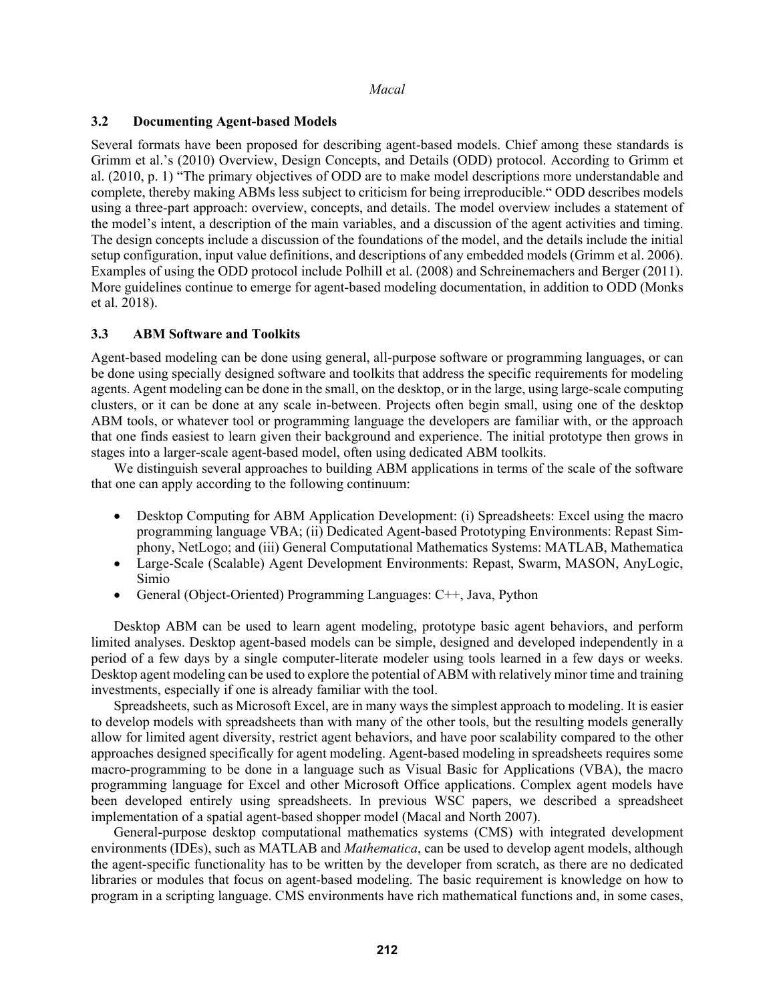## **3.2 Documenting Agent-based Models**

Several formats have been proposed for describing agent-based models. Chief among these standards is Grimm et al.'s (2010) Overview, Design Concepts, and Details (ODD) protocol. According to Grimm et al. (2010, p. 1) "The primary objectives of ODD are to make model descriptions more understandable and complete, thereby making ABMs less subject to criticism for being irreproducible." ODD describes models using a three-part approach: overview, concepts, and details. The model overview includes a statement of the model's intent, a description of the main variables, and a discussion of the agent activities and timing. The design concepts include a discussion of the foundations of the model, and the details include the initial setup configuration, input value definitions, and descriptions of any embedded models (Grimm et al. 2006). Examples of using the ODD protocol include Polhill et al. (2008) and Schreinemachers and Berger (2011). More guidelines continue to emerge for agent-based modeling documentation, in addition to ODD (Monks et al. 2018).

### **3.3 ABM Software and Toolkits**

Agent-based modeling can be done using general, all-purpose software or programming languages, or can be done using specially designed software and toolkits that address the specific requirements for modeling agents. Agent modeling can be done in the small, on the desktop, or in the large, using large-scale computing clusters, or it can be done at any scale in-between. Projects often begin small, using one of the desktop ABM tools, or whatever tool or programming language the developers are familiar with, or the approach that one finds easiest to learn given their background and experience. The initial prototype then grows in stages into a larger-scale agent-based model, often using dedicated ABM toolkits.

We distinguish several approaches to building ABM applications in terms of the scale of the software that one can apply according to the following continuum:

- Desktop Computing for ABM Application Development: (i) Spreadsheets: Excel using the macro programming language VBA; (ii) Dedicated Agent-based Prototyping Environments: Repast Simphony, NetLogo; and (iii) General Computational Mathematics Systems: MATLAB, Mathematica
- Large-Scale (Scalable) Agent Development Environments: Repast, Swarm, MASON, AnyLogic, Simio
- General (Object-Oriented) Programming Languages: C++, Java, Python

Desktop ABM can be used to learn agent modeling, prototype basic agent behaviors, and perform limited analyses. Desktop agent-based models can be simple, designed and developed independently in a period of a few days by a single computer-literate modeler using tools learned in a few days or weeks. Desktop agent modeling can be used to explore the potential of ABM with relatively minor time and training investments, especially if one is already familiar with the tool.

Spreadsheets, such as Microsoft Excel, are in many ways the simplest approach to modeling. It is easier to develop models with spreadsheets than with many of the other tools, but the resulting models generally allow for limited agent diversity, restrict agent behaviors, and have poor scalability compared to the other approaches designed specifically for agent modeling. Agent-based modeling in spreadsheets requires some macro-programming to be done in a language such as Visual Basic for Applications (VBA), the macro programming language for Excel and other Microsoft Office applications. Complex agent models have been developed entirely using spreadsheets. In previous WSC papers, we described a spreadsheet implementation of a spatial agent-based shopper model (Macal and North 2007).

General-purpose desktop computational mathematics systems (CMS) with integrated development environments (IDEs), such as MATLAB and *Mathematica*, can be used to develop agent models, although the agent-specific functionality has to be written by the developer from scratch, as there are no dedicated libraries or modules that focus on agent-based modeling. The basic requirement is knowledge on how to program in a scripting language. CMS environments have rich mathematical functions and, in some cases,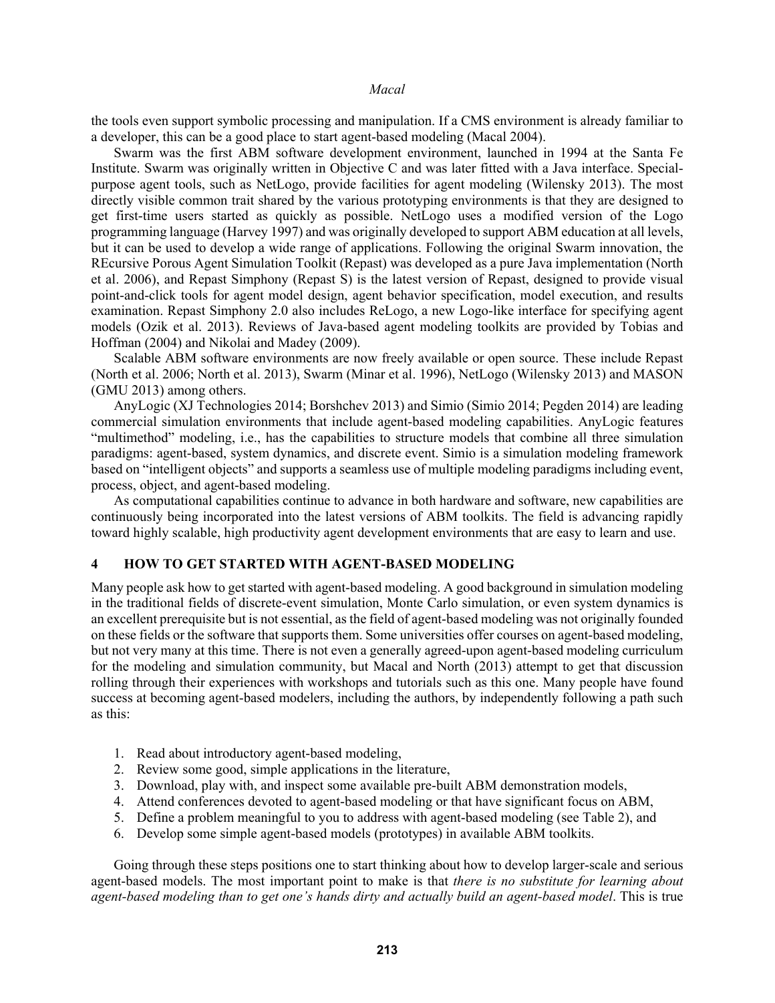the tools even support symbolic processing and manipulation. If a CMS environment is already familiar to a developer, this can be a good place to start agent-based modeling (Macal 2004).

Swarm was the first ABM software development environment, launched in 1994 at the Santa Fe Institute. Swarm was originally written in Objective C and was later fitted with a Java interface. Specialpurpose agent tools, such as NetLogo, provide facilities for agent modeling (Wilensky 2013). The most directly visible common trait shared by the various prototyping environments is that they are designed to get first-time users started as quickly as possible. NetLogo uses a modified version of the Logo programming language (Harvey 1997) and was originally developed to support ABM education at all levels, but it can be used to develop a wide range of applications. Following the original Swarm innovation, the REcursive Porous Agent Simulation Toolkit (Repast) was developed as a pure Java implementation (North et al. 2006), and Repast Simphony (Repast S) is the latest version of Repast, designed to provide visual point-and-click tools for agent model design, agent behavior specification, model execution, and results examination. Repast Simphony 2.0 also includes ReLogo, a new Logo-like interface for specifying agent models (Ozik et al. 2013). Reviews of Java-based agent modeling toolkits are provided by Tobias and Hoffman (2004) and Nikolai and Madey (2009).

Scalable ABM software environments are now freely available or open source. These include Repast (North et al. 2006; North et al. 2013), Swarm (Minar et al. 1996), NetLogo (Wilensky 2013) and MASON (GMU 2013) among others.

AnyLogic (XJ Technologies 2014; Borshchev 2013) and Simio (Simio 2014; Pegden 2014) are leading commercial simulation environments that include agent-based modeling capabilities. AnyLogic features "multimethod" modeling, i.e., has the capabilities to structure models that combine all three simulation paradigms: agent-based, system dynamics, and discrete event. Simio is a simulation modeling framework based on "intelligent objects" and supports a seamless use of multiple modeling paradigms including event, process, object, and agent-based modeling.

As computational capabilities continue to advance in both hardware and software, new capabilities are continuously being incorporated into the latest versions of ABM toolkits. The field is advancing rapidly toward highly scalable, high productivity agent development environments that are easy to learn and use.

## **4 HOW TO GET STARTED WITH AGENT-BASED MODELING**

Many people ask how to get started with agent-based modeling. A good background in simulation modeling in the traditional fields of discrete-event simulation, Monte Carlo simulation, or even system dynamics is an excellent prerequisite but is not essential, as the field of agent-based modeling was not originally founded on these fields or the software that supports them. Some universities offer courses on agent-based modeling, but not very many at this time. There is not even a generally agreed-upon agent-based modeling curriculum for the modeling and simulation community, but Macal and North (2013) attempt to get that discussion rolling through their experiences with workshops and tutorials such as this one. Many people have found success at becoming agent-based modelers, including the authors, by independently following a path such as this:

- 1. Read about introductory agent-based modeling,
- 2. Review some good, simple applications in the literature,
- 3. Download, play with, and inspect some available pre-built ABM demonstration models,
- 4. Attend conferences devoted to agent-based modeling or that have significant focus on ABM,
- 5. Define a problem meaningful to you to address with agent-based modeling (see Table 2), and
- 6. Develop some simple agent-based models (prototypes) in available ABM toolkits.

Going through these steps positions one to start thinking about how to develop larger-scale and serious agent-based models. The most important point to make is that *there is no substitute for learning about agent-based modeling than to get one's hands dirty and actually build an agent-based model*. This is true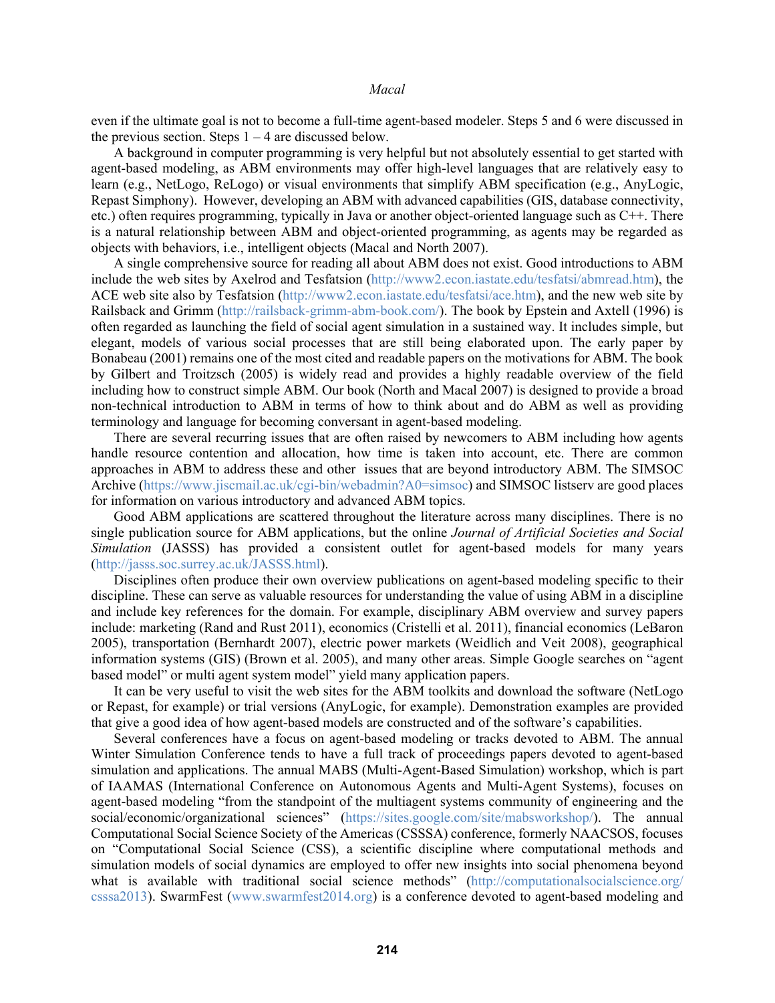even if the ultimate goal is not to become a full-time agent-based modeler. Steps 5 and 6 were discussed in the previous section. Steps  $1 - 4$  are discussed below.

A background in computer programming is very helpful but not absolutely essential to get started with agent-based modeling, as ABM environments may offer high-level languages that are relatively easy to learn (e.g., NetLogo, ReLogo) or visual environments that simplify ABM specification (e.g., AnyLogic, Repast Simphony). However, developing an ABM with advanced capabilities (GIS, database connectivity, etc.) often requires programming, typically in Java or another object-oriented language such as C++. There is a natural relationship between ABM and object-oriented programming, as agents may be regarded as objects with behaviors, i.e., intelligent objects (Macal and North 2007).

A single comprehensive source for reading all about ABM does not exist. Good introductions to ABM include the web sites by Axelrod and Tesfatsion (http://www2.econ.iastate.edu/tesfatsi/abmread.htm), the ACE web site also by Tesfatsion (http://www2.econ.iastate.edu/tesfatsi/ace.htm), and the new web site by Railsback and Grimm (http://railsback-grimm-abm-book.com/). The book by Epstein and Axtell (1996) is often regarded as launching the field of social agent simulation in a sustained way. It includes simple, but elegant, models of various social processes that are still being elaborated upon. The early paper by Bonabeau (2001) remains one of the most cited and readable papers on the motivations for ABM. The book by Gilbert and Troitzsch (2005) is widely read and provides a highly readable overview of the field including how to construct simple ABM. Our book (North and Macal 2007) is designed to provide a broad non-technical introduction to ABM in terms of how to think about and do ABM as well as providing terminology and language for becoming conversant in agent-based modeling.

There are several recurring issues that are often raised by newcomers to ABM including how agents handle resource contention and allocation, how time is taken into account, etc. There are common approaches in ABM to address these and other issues that are beyond introductory ABM. The SIMSOC Archive (https://www.jiscmail.ac.uk/cgi-bin/webadmin?A0=simsoc) and SIMSOC listserv are good places for information on various introductory and advanced ABM topics.

Good ABM applications are scattered throughout the literature across many disciplines. There is no single publication source for ABM applications, but the online *Journal of Artificial Societies and Social Simulation* (JASSS) has provided a consistent outlet for agent-based models for many years (http://jasss.soc.surrey.ac.uk/JASSS.html).

Disciplines often produce their own overview publications on agent-based modeling specific to their discipline. These can serve as valuable resources for understanding the value of using ABM in a discipline and include key references for the domain. For example, disciplinary ABM overview and survey papers include: marketing (Rand and Rust 2011), economics (Cristelli et al. 2011), financial economics (LeBaron 2005), transportation (Bernhardt 2007), electric power markets (Weidlich and Veit 2008), geographical information systems (GIS) (Brown et al. 2005), and many other areas. Simple Google searches on "agent based model" or multi agent system model" yield many application papers.

It can be very useful to visit the web sites for the ABM toolkits and download the software (NetLogo or Repast, for example) or trial versions (AnyLogic, for example). Demonstration examples are provided that give a good idea of how agent-based models are constructed and of the software's capabilities.

Several conferences have a focus on agent-based modeling or tracks devoted to ABM. The annual Winter Simulation Conference tends to have a full track of proceedings papers devoted to agent-based simulation and applications. The annual MABS (Multi-Agent-Based Simulation) workshop, which is part of IAAMAS (International Conference on Autonomous Agents and Multi-Agent Systems), focuses on agent-based modeling "from the standpoint of the multiagent systems community of engineering and the social/economic/organizational sciences" (https://sites.google.com/site/mabsworkshop/). The annual Computational Social Science Society of the Americas (CSSSA) conference, formerly NAACSOS, focuses on "Computational Social Science (CSS), a scientific discipline where computational methods and simulation models of social dynamics are employed to offer new insights into social phenomena beyond what is available with traditional social science methods" (http://computationalsocialscience.org/ csssa2013). SwarmFest (www.swarmfest2014.org) is a conference devoted to agent-based modeling and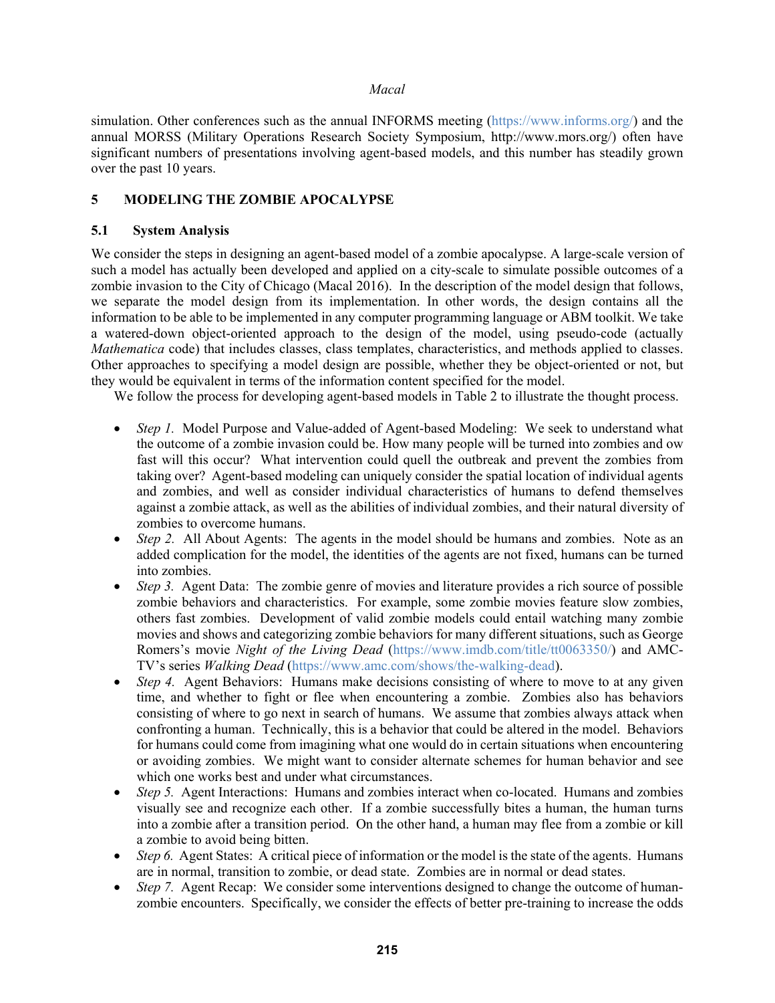simulation. Other conferences such as the annual INFORMS meeting (https://www.informs.org/) and the annual MORSS (Military Operations Research Society Symposium, http://www.mors.org/) often have significant numbers of presentations involving agent-based models, and this number has steadily grown over the past 10 years.

# **5 MODELING THE ZOMBIE APOCALYPSE**

## **5.1 System Analysis**

We consider the steps in designing an agent-based model of a zombie apocalypse. A large-scale version of such a model has actually been developed and applied on a city-scale to simulate possible outcomes of a zombie invasion to the City of Chicago (Macal 2016). In the description of the model design that follows, we separate the model design from its implementation. In other words, the design contains all the information to be able to be implemented in any computer programming language or ABM toolkit. We take a watered-down object-oriented approach to the design of the model, using pseudo-code (actually *Mathematica* code) that includes classes, class templates, characteristics, and methods applied to classes. Other approaches to specifying a model design are possible, whether they be object-oriented or not, but they would be equivalent in terms of the information content specified for the model.

We follow the process for developing agent-based models in Table 2 to illustrate the thought process.

- *Step 1.* Model Purpose and Value-added of Agent-based Modeling: We seek to understand what the outcome of a zombie invasion could be. How many people will be turned into zombies and ow fast will this occur? What intervention could quell the outbreak and prevent the zombies from taking over? Agent-based modeling can uniquely consider the spatial location of individual agents and zombies, and well as consider individual characteristics of humans to defend themselves against a zombie attack, as well as the abilities of individual zombies, and their natural diversity of zombies to overcome humans.
- *Step 2.* All About Agents: The agents in the model should be humans and zombies. Note as an added complication for the model, the identities of the agents are not fixed, humans can be turned into zombies.
- *Step 3.* Agent Data: The zombie genre of movies and literature provides a rich source of possible zombie behaviors and characteristics. For example, some zombie movies feature slow zombies, others fast zombies. Development of valid zombie models could entail watching many zombie movies and shows and categorizing zombie behaviors for many different situations, such as George Romers's movie *Night of the Living Dead* (https://www.imdb.com/title/tt0063350/) and AMC-TV's series *Walking Dead* (https://www.amc.com/shows/the-walking-dead).
- *Step 4.* Agent Behaviors: Humans make decisions consisting of where to move to at any given time, and whether to fight or flee when encountering a zombie. Zombies also has behaviors consisting of where to go next in search of humans. We assume that zombies always attack when confronting a human. Technically, this is a behavior that could be altered in the model. Behaviors for humans could come from imagining what one would do in certain situations when encountering or avoiding zombies. We might want to consider alternate schemes for human behavior and see which one works best and under what circumstances.
- *Step 5.* Agent Interactions: Humans and zombies interact when co-located. Humans and zombies visually see and recognize each other. If a zombie successfully bites a human, the human turns into a zombie after a transition period. On the other hand, a human may flee from a zombie or kill a zombie to avoid being bitten.
- *Step 6.* Agent States: A critical piece of information or the model is the state of the agents. Humans are in normal, transition to zombie, or dead state. Zombies are in normal or dead states.
- *Step 7.* Agent Recap: We consider some interventions designed to change the outcome of humanzombie encounters. Specifically, we consider the effects of better pre-training to increase the odds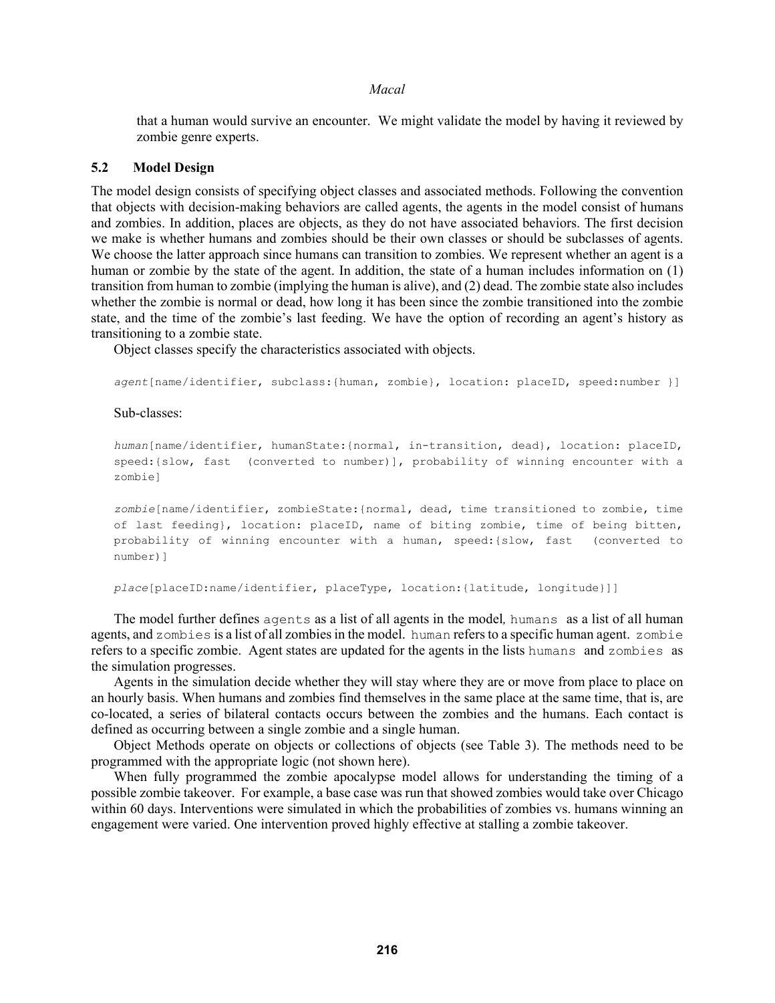that a human would survive an encounter. We might validate the model by having it reviewed by zombie genre experts.

### **5.2 Model Design**

The model design consists of specifying object classes and associated methods. Following the convention that objects with decision-making behaviors are called agents, the agents in the model consist of humans and zombies. In addition, places are objects, as they do not have associated behaviors. The first decision we make is whether humans and zombies should be their own classes or should be subclasses of agents. We choose the latter approach since humans can transition to zombies. We represent whether an agent is a human or zombie by the state of the agent. In addition, the state of a human includes information on (1) transition from human to zombie (implying the human is alive), and (2) dead. The zombie state also includes whether the zombie is normal or dead, how long it has been since the zombie transitioned into the zombie state, and the time of the zombie's last feeding. We have the option of recording an agent's history as transitioning to a zombie state.

Object classes specify the characteristics associated with objects.

*agent*[name/identifier, subclass:{human, zombie}, location: placeID, speed:number }]

#### Sub-classes:

*human*[name/identifier, humanState:{normal, in-transition, dead}, location: placeID, speed:{slow, fast (converted to number)], probability of winning encounter with a zombie]

*zombie*[name/identifier, zombieState:{normal, dead, time transitioned to zombie, time of last feeding}, location: placeID, name of biting zombie, time of being bitten, probability of winning encounter with a human, speed:{slow, fast (converted to number)]

*place*[placeID:name/identifier, placeType, location:{latitude, longitude}]]

The model further defines agents as a list of all agents in the model*,* humans as a list of all human agents, and zombies is a list of all zombies in the model. human refers to a specific human agent. zombie refers to a specific zombie. Agent states are updated for the agents in the lists humans and zombies as the simulation progresses.

Agents in the simulation decide whether they will stay where they are or move from place to place on an hourly basis. When humans and zombies find themselves in the same place at the same time, that is, are co-located, a series of bilateral contacts occurs between the zombies and the humans. Each contact is defined as occurring between a single zombie and a single human.

Object Methods operate on objects or collections of objects (see Table 3). The methods need to be programmed with the appropriate logic (not shown here).

When fully programmed the zombie apocalypse model allows for understanding the timing of a possible zombie takeover. For example, a base case was run that showed zombies would take over Chicago within 60 days. Interventions were simulated in which the probabilities of zombies vs. humans winning an engagement were varied. One intervention proved highly effective at stalling a zombie takeover.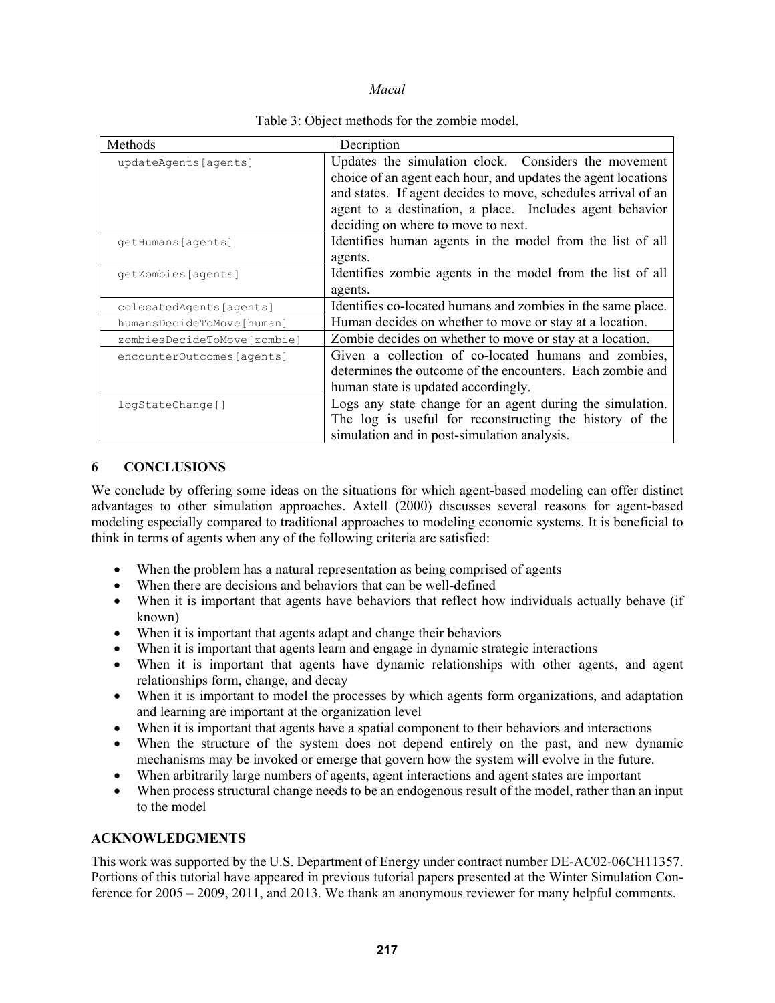| Methods                     | Decription                                                    |
|-----------------------------|---------------------------------------------------------------|
| updateAgents[agents]        | Updates the simulation clock. Considers the movement          |
|                             | choice of an agent each hour, and updates the agent locations |
|                             | and states. If agent decides to move, schedules arrival of an |
|                             | agent to a destination, a place. Includes agent behavior      |
|                             | deciding on where to move to next.                            |
| qetHumans[aqents]           | Identifies human agents in the model from the list of all     |
|                             | agents.                                                       |
| qetZombies[aqents]          | Identifies zombie agents in the model from the list of all    |
|                             | agents.                                                       |
| colocatedAgents[agents]     | Identifies co-located humans and zombies in the same place.   |
| humansDecideToMove[human]   | Human decides on whether to move or stay at a location.       |
| zombiesDecideToMove[zombie] | Zombie decides on whether to move or stay at a location.      |
| encounterOutcomes[agents]   | Given a collection of co-located humans and zombies,          |
|                             | determines the outcome of the encounters. Each zombie and     |
|                             | human state is updated accordingly.                           |
| logStateChange[]            | Logs any state change for an agent during the simulation.     |
|                             | The log is useful for reconstructing the history of the       |
|                             | simulation and in post-simulation analysis.                   |

### Table 3: Object methods for the zombie model.

## **6 CONCLUSIONS**

We conclude by offering some ideas on the situations for which agent-based modeling can offer distinct advantages to other simulation approaches. Axtell (2000) discusses several reasons for agent-based modeling especially compared to traditional approaches to modeling economic systems. It is beneficial to think in terms of agents when any of the following criteria are satisfied:

- When the problem has a natural representation as being comprised of agents
- When there are decisions and behaviors that can be well-defined
- When it is important that agents have behaviors that reflect how individuals actually behave (if known)
- When it is important that agents adapt and change their behaviors
- When it is important that agents learn and engage in dynamic strategic interactions
- When it is important that agents have dynamic relationships with other agents, and agent relationships form, change, and decay
- When it is important to model the processes by which agents form organizations, and adaptation and learning are important at the organization level
- When it is important that agents have a spatial component to their behaviors and interactions
- When the structure of the system does not depend entirely on the past, and new dynamic mechanisms may be invoked or emerge that govern how the system will evolve in the future.
- When arbitrarily large numbers of agents, agent interactions and agent states are important
- When process structural change needs to be an endogenous result of the model, rather than an input to the model

### **ACKNOWLEDGMENTS**

This work was supported by the U.S. Department of Energy under contract number DE-AC02-06CH11357. Portions of this tutorial have appeared in previous tutorial papers presented at the Winter Simulation Conference for 2005 – 2009, 2011, and 2013. We thank an anonymous reviewer for many helpful comments.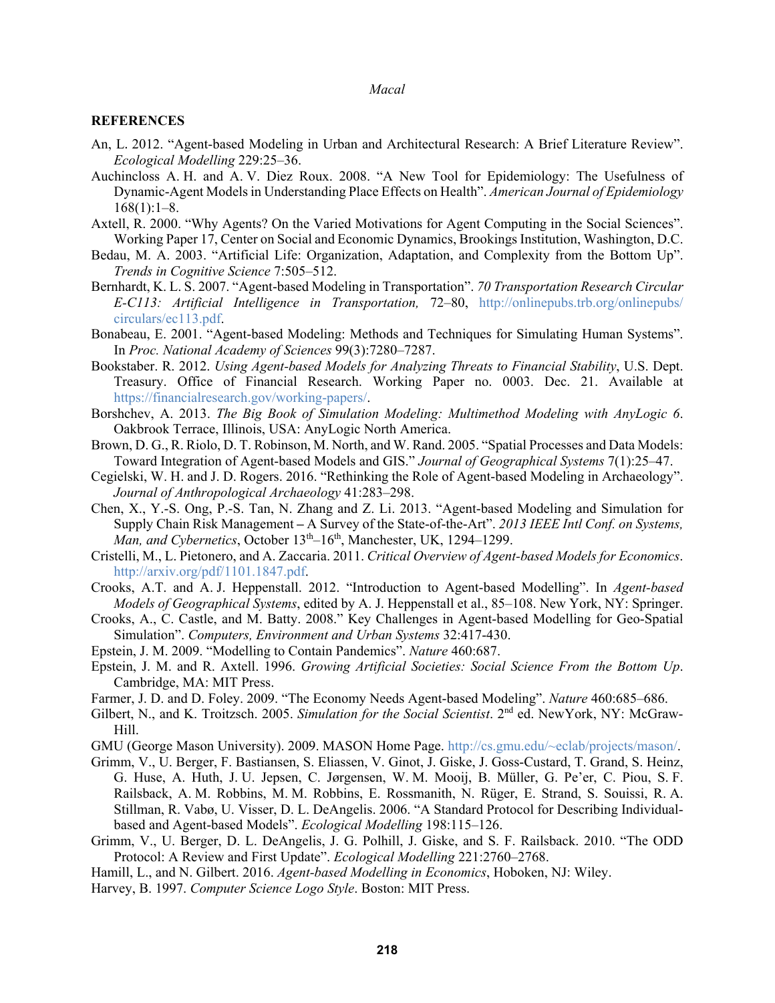#### **REFERENCES**

- An, L. 2012. "Agent-based Modeling in Urban and Architectural Research: A Brief Literature Review". *Ecological Modelling* 229:25–36.
- Auchincloss A. H. and A. V. Diez Roux. 2008. "A New Tool for Epidemiology: The Usefulness of Dynamic-Agent Models in Understanding Place Effects on Health". *American Journal of Epidemiology*  $168(1):1-8.$
- Axtell, R. 2000. "Why Agents? On the Varied Motivations for Agent Computing in the Social Sciences". Working Paper 17, Center on Social and Economic Dynamics, Brookings Institution, Washington, D.C.
- Bedau, M. A. 2003. "Artificial Life: Organization, Adaptation, and Complexity from the Bottom Up". *Trends in Cognitive Science* 7:505–512.
- Bernhardt, K. L. S. 2007. "Agent-based Modeling in Transportation". *70 Transportation Research Circular E-C113: Artificial Intelligence in Transportation,* 72–80, http://onlinepubs.trb.org/onlinepubs/ circulars/ec113.pdf.
- Bonabeau, E. 2001. "Agent-based Modeling: Methods and Techniques for Simulating Human Systems". In *Proc. National Academy of Sciences* 99(3):7280–7287.
- Bookstaber. R. 2012. *Using Agent-based Models for Analyzing Threats to Financial Stability*, U.S. Dept. Treasury. Office of Financial Research. Working Paper no. 0003. Dec. 21. Available at https://financialresearch.gov/working-papers/.
- Borshchev, A. 2013. *The Big Book of Simulation Modeling: Multimethod Modeling with AnyLogic 6*. Oakbrook Terrace, Illinois, USA: AnyLogic North America.
- Brown, D. G., R. Riolo, D. T. Robinson, M. North, and W. Rand. 2005. "Spatial Processes and Data Models: Toward Integration of Agent-based Models and GIS." *Journal of Geographical Systems* 7(1):25–47.
- Cegielski, W. H. and J. D. Rogers. 2016. "Rethinking the Role of Agent-based Modeling in Archaeology". *Journal of Anthropological Archaeology* 41:283–298.
- Chen, X., Y.-S. Ong, P.-S. Tan, N. Zhang and Z. Li. 2013. "Agent-based Modeling and Simulation for Supply Chain Risk Management **–** A Survey of the State-of-the-Art". *2013 IEEE Intl Conf. on Systems, Man, and Cybernetics*, October  $13<sup>th</sup> - 16<sup>th</sup>$ , Manchester, UK, 1294–1299.
- Cristelli, M., L. Pietonero, and A. Zaccaria. 2011. *Critical Overview of Agent-based Models for Economics*. http://arxiv.org/pdf/1101.1847.pdf.
- Crooks, A.T. and A. J. Heppenstall. 2012. "Introduction to Agent-based Modelling". In *Agent-based Models of Geographical Systems*, edited by A. J. Heppenstall et al., 85–108. New York, NY: Springer.
- Crooks, A., C. Castle, and M. Batty. 2008." Key Challenges in Agent-based Modelling for Geo-Spatial Simulation". *Computers, Environment and Urban Systems* 32:417-430.
- Epstein, J. M. 2009. "Modelling to Contain Pandemics". *Nature* 460:687.
- Epstein, J. M. and R. Axtell. 1996. *Growing Artificial Societies: Social Science From the Bottom Up*. Cambridge, MA: MIT Press.
- Farmer, J. D. and D. Foley. 2009. "The Economy Needs Agent-based Modeling". *Nature* 460:685–686.
- Gilbert, N., and K. Troitzsch. 2005. *Simulation for the Social Scientist*. 2nd ed. NewYork, NY: McGraw-Hill.
- GMU (George Mason University). 2009. MASON Home Page. http://cs.gmu.edu/~eclab/projects/mason/.
- Grimm, V., U. Berger, F. Bastiansen, S. Eliassen, V. Ginot, J. Giske, J. Goss-Custard, T. Grand, S. Heinz, G. Huse, A. Huth, J. U. Jepsen, C. Jørgensen, W. M. Mooij, B. Müller, G. Pe'er, C. Piou, S. F. Railsback, A. M. Robbins, M. M. Robbins, E. Rossmanith, N. Rüger, E. Strand, S. Souissi, R. A. Stillman, R. Vabø, U. Visser, D. L. DeAngelis. 2006. "A Standard Protocol for Describing Individualbased and Agent-based Models". *Ecological Modelling* 198:115–126.
- Grimm, V., U. Berger, D. L. DeAngelis, J. G. Polhill, J. Giske, and S. F. Railsback. 2010. "The ODD Protocol: A Review and First Update". *Ecological Modelling* 221:2760–2768.
- Hamill, L., and N. Gilbert. 2016. *Agent-based Modelling in Economics*, Hoboken, NJ: Wiley.
- Harvey, B. 1997. *Computer Science Logo Style*. Boston: MIT Press.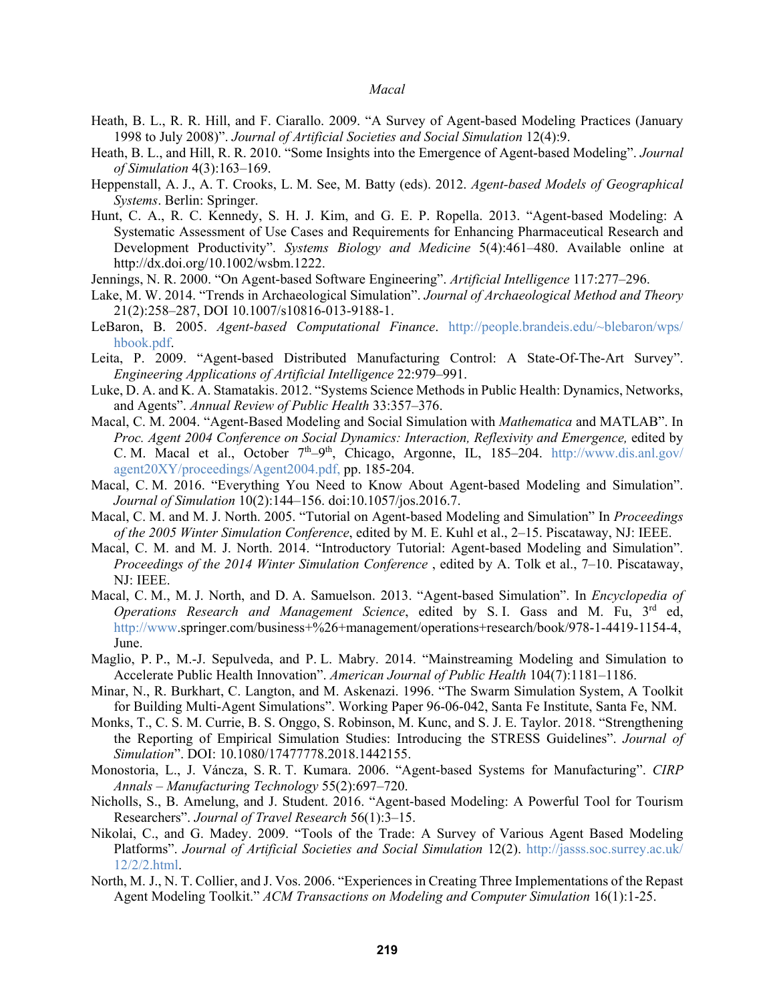- Heath, B. L., R. R. Hill, and F. Ciarallo. 2009. "A Survey of Agent-based Modeling Practices (January 1998 to July 2008)". *Journal of Artificial Societies and Social Simulation* 12(4):9.
- Heath, B. L., and Hill, R. R. 2010. "Some Insights into the Emergence of Agent-based Modeling". *Journal of Simulation* 4(3):163–169.
- Heppenstall, A. J., A. T. Crooks, L. M. See, M. Batty (eds). 2012. *Agent-based Models of Geographical Systems*. Berlin: Springer.
- Hunt, C. A., R. C. Kennedy, S. H. J. Kim, and G. E. P. Ropella. 2013. "Agent-based Modeling: A Systematic Assessment of Use Cases and Requirements for Enhancing Pharmaceutical Research and Development Productivity". *Systems Biology and Medicine* 5(4):461–480. Available online at http://dx.doi.org/10.1002/wsbm.1222.
- Jennings, N. R. 2000. "On Agent-based Software Engineering". *Artificial Intelligence* 117:277–296.
- Lake, M. W. 2014. "Trends in Archaeological Simulation". *Journal of Archaeological Method and Theory* 21(2):258–287, DOI 10.1007/s10816-013-9188-1.
- LeBaron, B. 2005. *Agent-based Computational Finance*. http://people.brandeis.edu/~blebaron/wps/ hbook.pdf.
- Leita, P. 2009. "Agent-based Distributed Manufacturing Control: A State-Of-The-Art Survey". *Engineering Applications of Artificial Intelligence* 22:979–991.
- Luke, D. A. and K. A. Stamatakis. 2012. "Systems Science Methods in Public Health: Dynamics, Networks, and Agents". *Annual Review of Public Health* 33:357–376.
- Macal, C. M. 2004. "Agent-Based Modeling and Social Simulation with *Mathematica* and MATLAB". In *Proc. Agent 2004 Conference on Social Dynamics: Interaction, Reflexivity and Emergence,* edited by C. M. Macal et al., October  $7<sup>th</sup>-9<sup>th</sup>$ , Chicago, Argonne, IL, 185–204. http://www.dis.anl.gov/ agent20XY/proceedings/Agent2004.pdf, pp. 185-204.
- Macal, C. M. 2016. "Everything You Need to Know About Agent-based Modeling and Simulation". *Journal of Simulation* 10(2):144–156. doi:10.1057/jos.2016.7.
- Macal, C. M. and M. J. North. 2005. "Tutorial on Agent-based Modeling and Simulation" In *Proceedings of the 2005 Winter Simulation Conference*, edited by M. E. Kuhl et al., 2–15. Piscataway, NJ: IEEE.
- Macal, C. M. and M. J. North. 2014. "Introductory Tutorial: Agent-based Modeling and Simulation". *Proceedings of the 2014 Winter Simulation Conference* , edited by A. Tolk et al., 7–10. Piscataway, NJ: IEEE.
- Macal, C. M., M. J. North, and D. A. Samuelson. 2013. "Agent-based Simulation". In *Encyclopedia of Operations Research and Management Science*, edited by S. I. Gass and M. Fu, 3rd ed, http://www.springer.com/business+%26+management/operations+research/book/978-1-4419-1154-4, June.
- Maglio, P. P., M.-J. Sepulveda, and P. L. Mabry. 2014. "Mainstreaming Modeling and Simulation to Accelerate Public Health Innovation". *American Journal of Public Health* 104(7):1181–1186.
- Minar, N., R. Burkhart, C. Langton, and M. Askenazi. 1996. "The Swarm Simulation System, A Toolkit for Building Multi-Agent Simulations". Working Paper 96-06-042, Santa Fe Institute, Santa Fe, NM.
- Monks, T., C. S. M. Currie, B. S. Onggo, S. Robinson, M. Kunc, and S. J. E. Taylor. 2018. "Strengthening the Reporting of Empirical Simulation Studies: Introducing the STRESS Guidelines". *Journal of Simulation*". DOI: 10.1080/17477778.2018.1442155.
- Monostoria, L., J. Váncza, S. R. T. Kumara. 2006. "Agent-based Systems for Manufacturing". *CIRP Annals – Manufacturing Technology* 55(2):697–720.
- Nicholls, S., B. Amelung, and J. Student. 2016. "Agent-based Modeling: A Powerful Tool for Tourism Researchers". *Journal of Travel Research* 56(1):3–15.
- Nikolai, C., and G. Madey. 2009. "Tools of the Trade: A Survey of Various Agent Based Modeling Platforms". *Journal of Artificial Societies and Social Simulation* 12(2). http://jasss.soc.surrey.ac.uk/ 12/2/2.html.
- North, M. J., N. T. Collier, and J. Vos. 2006. "Experiences in Creating Three Implementations of the Repast Agent Modeling Toolkit." *ACM Transactions on Modeling and Computer Simulation* 16(1):1-25.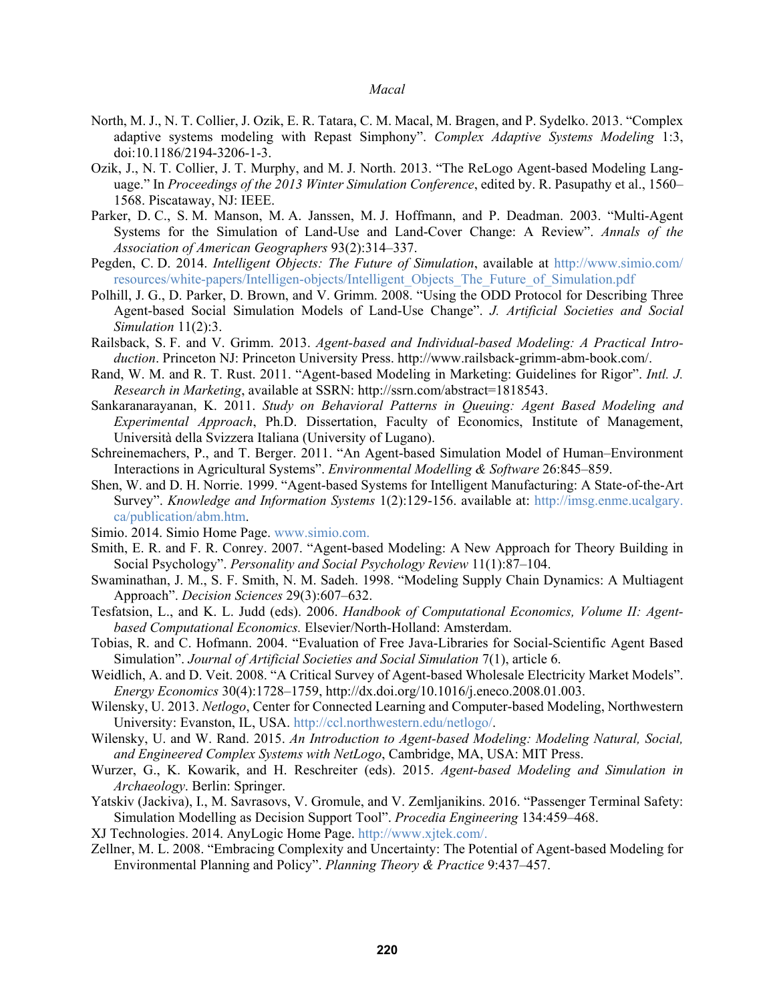- North, M. J., N. T. Collier, J. Ozik, E. R. Tatara, C. M. Macal, M. Bragen, and P. Sydelko. 2013. "Complex adaptive systems modeling with Repast Simphony". *Complex Adaptive Systems Modeling* 1:3, doi:10.1186/2194-3206-1-3.
- Ozik, J., N. T. Collier, J. T. Murphy, and M. J. North. 2013. "The ReLogo Agent-based Modeling Language." In *Proceedings of the 2013 Winter Simulation Conference*, edited by. R. Pasupathy et al., 1560– 1568. Piscataway, NJ: IEEE.
- Parker, D. C., S. M. Manson, M. A. Janssen, M. J. Hoffmann, and P. Deadman. 2003. "Multi-Agent Systems for the Simulation of Land-Use and Land-Cover Change: A Review". *Annals of the Association of American Geographers* 93(2):314–337.
- Pegden, C. D. 2014. *Intelligent Objects: The Future of Simulation*, available at http://www.simio.com/ resources/white-papers/Intelligen-objects/Intelligent\_Objects\_The\_Future\_of\_Simulation.pdf
- Polhill, J. G., D. Parker, D. Brown, and V. Grimm. 2008. "Using the ODD Protocol for Describing Three Agent-based Social Simulation Models of Land-Use Change". *J. Artificial Societies and Social Simulation* 11(2):3.
- Railsback, S. F. and V. Grimm. 2013. *Agent-based and Individual-based Modeling: A Practical Introduction*. Princeton NJ: Princeton University Press. http://www.railsback-grimm-abm-book.com/.
- Rand, W. M. and R. T. Rust. 2011. "Agent-based Modeling in Marketing: Guidelines for Rigor". *Intl. J. Research in Marketing*, available at SSRN: http://ssrn.com/abstract=1818543.
- Sankaranarayanan, K. 2011. *Study on Behavioral Patterns in Queuing: Agent Based Modeling and Experimental Approach*, Ph.D. Dissertation, Faculty of Economics, Institute of Management, Università della Svizzera Italiana (University of Lugano).
- Schreinemachers, P., and T. Berger. 2011. "An Agent-based Simulation Model of Human–Environment Interactions in Agricultural Systems". *Environmental Modelling & Software* 26:845–859.
- Shen, W. and D. H. Norrie. 1999. "Agent-based Systems for Intelligent Manufacturing: A State-of-the-Art Survey". *Knowledge and Information Systems* 1(2):129-156. available at: http://imsg.enme.ucalgary. ca/publication/abm.htm.
- Simio. 2014. Simio Home Page. www.simio.com.
- Smith, E. R. and F. R. Conrey. 2007. "Agent-based Modeling: A New Approach for Theory Building in Social Psychology". *Personality and Social Psychology Review* 11(1):87–104.
- Swaminathan, J. M., S. F. Smith, N. M. Sadeh. 1998. "Modeling Supply Chain Dynamics: A Multiagent Approach". *Decision Sciences* 29(3):607–632.
- Tesfatsion, L., and K. L. Judd (eds). 2006. *Handbook of Computational Economics, Volume II: Agentbased Computational Economics.* Elsevier/North-Holland: Amsterdam.
- Tobias, R. and C. Hofmann. 2004. "Evaluation of Free Java-Libraries for Social-Scientific Agent Based Simulation". *Journal of Artificial Societies and Social Simulation* 7(1), article 6.
- Weidlich, A. and D. Veit. 2008. "A Critical Survey of Agent-based Wholesale Electricity Market Models". *Energy Economics* 30(4):1728–1759, http://dx.doi.org/10.1016/j.eneco.2008.01.003.
- Wilensky, U. 2013. *Netlogo*, Center for Connected Learning and Computer-based Modeling, Northwestern University: Evanston, IL, USA. http://ccl.northwestern.edu/netlogo/.
- Wilensky, U. and W. Rand. 2015. *An Introduction to Agent-based Modeling: Modeling Natural, Social, and Engineered Complex Systems with NetLogo*, Cambridge, MA, USA: MIT Press.
- Wurzer, G., K. Kowarik, and H. Reschreiter (eds). 2015. *Agent-based Modeling and Simulation in Archaeology*. Berlin: Springer.
- Yatskiv (Jackiva), I., M. Savrasovs, V. Gromule, and V. Zemljanikins. 2016. "Passenger Terminal Safety: Simulation Modelling as Decision Support Tool". *Procedia Engineering* 134:459–468.
- XJ Technologies. 2014. AnyLogic Home Page. http://www.xjtek.com/.
- Zellner, M. L. 2008. "Embracing Complexity and Uncertainty: The Potential of Agent-based Modeling for Environmental Planning and Policy". *Planning Theory & Practice* 9:437–457.